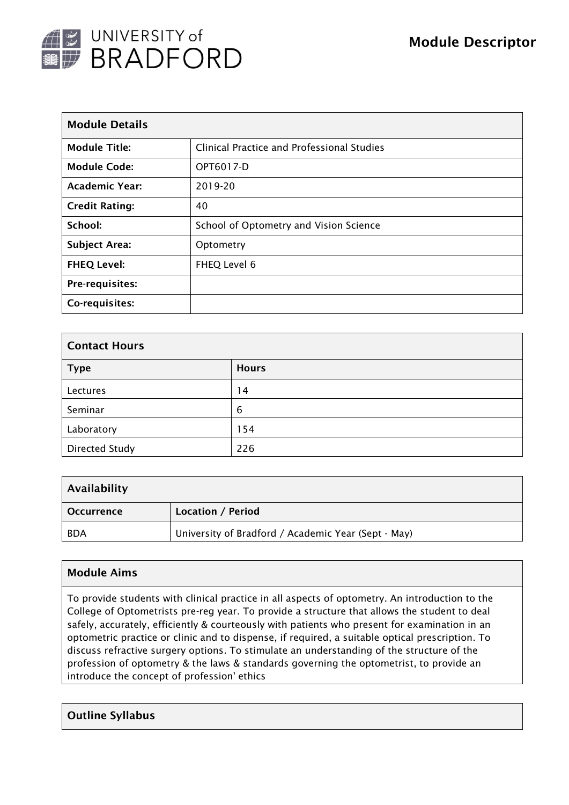

| <b>Module Details</b> |                                            |  |  |  |
|-----------------------|--------------------------------------------|--|--|--|
| <b>Module Title:</b>  | Clinical Practice and Professional Studies |  |  |  |
| <b>Module Code:</b>   | OPT6017-D                                  |  |  |  |
| <b>Academic Year:</b> | 2019-20                                    |  |  |  |
| <b>Credit Rating:</b> | 40                                         |  |  |  |
| School:               | School of Optometry and Vision Science     |  |  |  |
| <b>Subject Area:</b>  | Optometry                                  |  |  |  |
| <b>FHEQ Level:</b>    | FHEQ Level 6                               |  |  |  |
| Pre-requisites:       |                                            |  |  |  |
| Co-requisites:        |                                            |  |  |  |

| <b>Contact Hours</b> |              |  |  |  |  |
|----------------------|--------------|--|--|--|--|
| <b>Type</b>          | <b>Hours</b> |  |  |  |  |
| Lectures             | 14           |  |  |  |  |
| Seminar              | 6            |  |  |  |  |
| Laboratory           | 154          |  |  |  |  |
| Directed Study       | 226          |  |  |  |  |

| Availability      |                                                     |  |  |  |
|-------------------|-----------------------------------------------------|--|--|--|
| <b>Occurrence</b> | Location / Period                                   |  |  |  |
| <b>BDA</b>        | University of Bradford / Academic Year (Sept - May) |  |  |  |

## Module Aims

To provide students with clinical practice in all aspects of optometry. An introduction to the College of Optometrists pre-reg year. To provide a structure that allows the student to deal safely, accurately, efficiently & courteously with patients who present for examination in an optometric practice or clinic and to dispense, if required, a suitable optical prescription. To discuss refractive surgery options. To stimulate an understanding of the structure of the profession of optometry & the laws & standards governing the optometrist, to provide an introduce the concept of profession' ethics

### Outline Syllabus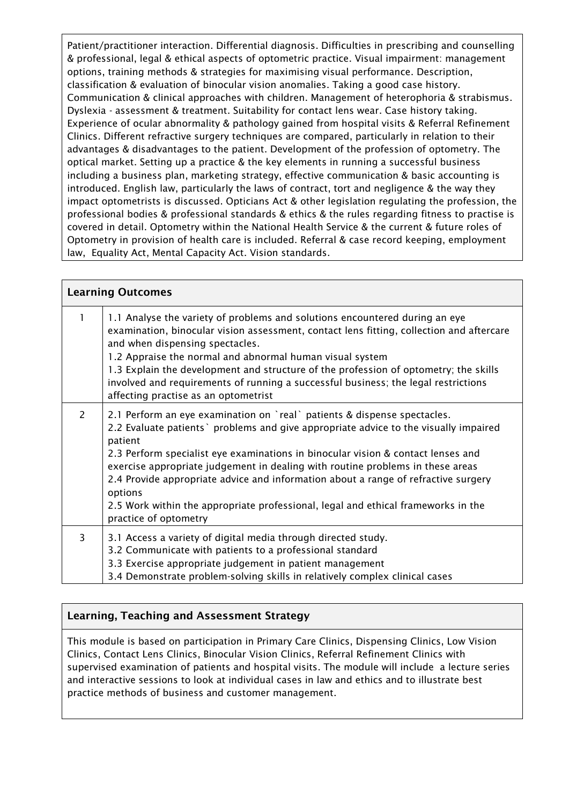Patient/practitioner interaction. Differential diagnosis. Difficulties in prescribing and counselling & professional, legal & ethical aspects of optometric practice. Visual impairment: management options, training methods & strategies for maximising visual performance. Description, classification & evaluation of binocular vision anomalies. Taking a good case history. Communication & clinical approaches with children. Management of heterophoria & strabismus. Dyslexia - assessment & treatment. Suitability for contact lens wear. Case history taking. Experience of ocular abnormality & pathology gained from hospital visits & Referral Refinement Clinics. Different refractive surgery techniques are compared, particularly in relation to their advantages & disadvantages to the patient. Development of the profession of optometry. The optical market. Setting up a practice & the key elements in running a successful business including a business plan, marketing strategy, effective communication & basic accounting is introduced. English law, particularly the laws of contract, tort and negligence & the way they impact optometrists is discussed. Opticians Act & other legislation regulating the profession, the professional bodies & professional standards & ethics & the rules regarding fitness to practise is covered in detail. Optometry within the National Health Service & the current & future roles of Optometry in provision of health care is included. Referral & case record keeping, employment law, Equality Act, Mental Capacity Act. Vision standards.

| <b>Learning Outcomes</b> |                                                                                                                                                                                                                                                                                                                                                                                                                                                                                                                                                                   |  |  |  |
|--------------------------|-------------------------------------------------------------------------------------------------------------------------------------------------------------------------------------------------------------------------------------------------------------------------------------------------------------------------------------------------------------------------------------------------------------------------------------------------------------------------------------------------------------------------------------------------------------------|--|--|--|
| 1                        | 1.1 Analyse the variety of problems and solutions encountered during an eye<br>examination, binocular vision assessment, contact lens fitting, collection and aftercare<br>and when dispensing spectacles.<br>1.2 Appraise the normal and abnormal human visual system<br>1.3 Explain the development and structure of the profession of optometry; the skills<br>involved and requirements of running a successful business; the legal restrictions<br>affecting practise as an optometrist                                                                      |  |  |  |
| 2                        | 2.1 Perform an eye examination on `real` patients & dispense spectacles.<br>2.2 Evaluate patients ` problems and give appropriate advice to the visually impaired<br>patient<br>2.3 Perform specialist eye examinations in binocular vision & contact lenses and<br>exercise appropriate judgement in dealing with routine problems in these areas<br>2.4 Provide appropriate advice and information about a range of refractive surgery<br>options<br>2.5 Work within the appropriate professional, legal and ethical frameworks in the<br>practice of optometry |  |  |  |
| 3                        | 3.1 Access a variety of digital media through directed study.<br>3.2 Communicate with patients to a professional standard<br>3.3 Exercise appropriate judgement in patient management<br>3.4 Demonstrate problem-solving skills in relatively complex clinical cases                                                                                                                                                                                                                                                                                              |  |  |  |

# Learning, Teaching and Assessment Strategy

This module is based on participation in Primary Care Clinics, Dispensing Clinics, Low Vision Clinics, Contact Lens Clinics, Binocular Vision Clinics, Referral Refinement Clinics with supervised examination of patients and hospital visits. The module will include a lecture series and interactive sessions to look at individual cases in law and ethics and to illustrate best practice methods of business and customer management.